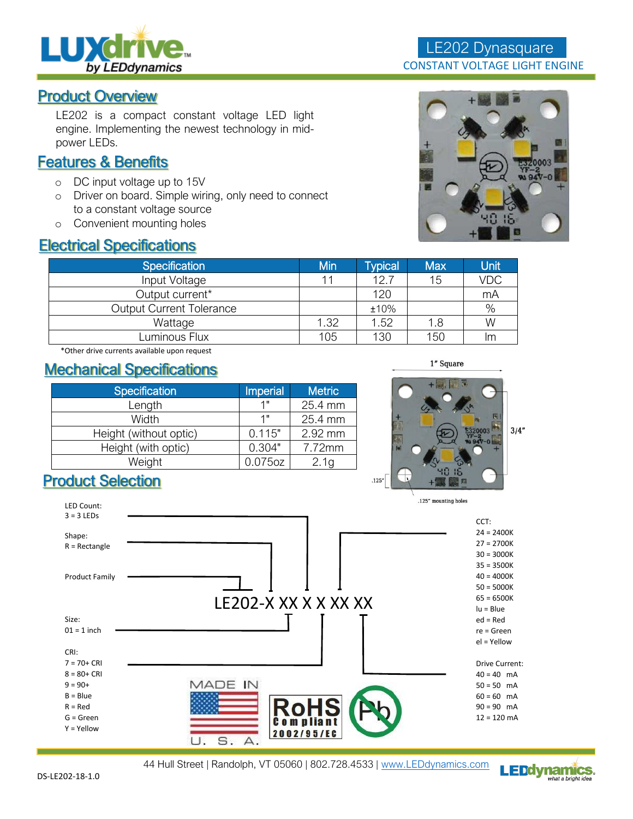

# Product Overview

LE202 is a compact constant voltage LED light engine. Implementing the newest technology in midpower LEDs.

# Features & Benefits

- o DC input voltage up to 15V
- o Driver on board. Simple wiring, only need to connect to a constant voltage source
- o Convenient mounting holes

# Electrical Specifications



| <b>Specification</b>            | Min  | <b>Typical</b> | <b>Max</b> | Unit |
|---------------------------------|------|----------------|------------|------|
| Input Voltage                   |      | 12.7           | 15         | VDC  |
| Output current*                 |      | 120            |            | mA   |
| <b>Output Current Tolerance</b> |      | ±10%           |            | $\%$ |
| Wattage                         | 1.32 | 1.52           | 1.8        | W    |
| Luminous Flux                   | 105  | 130            | 150        | Im   |

\*Other drive currents available upon request

#### Mechanical Specifications

| <b>Specification</b>   | <b>Imperial</b> | <b>Metric</b>    |
|------------------------|-----------------|------------------|
| Length                 | 1"              | 25.4 mm          |
| Width                  | 1"              | 25.4 mm          |
| Height (without optic) | 0.115"          | 2.92 mm          |
| Height (with optic)    | 0.304"          | 7.72mm           |
| Weight                 | 0.075oz         | 2.1 <sub>q</sub> |



**LEDdvnamics** 

at a bright ide

Product Selection



44 Hull Street | Randolph, VT 05060 | 802.728.4533 | [www.LEDdynamics.com](http://www.leddynamics.com/)